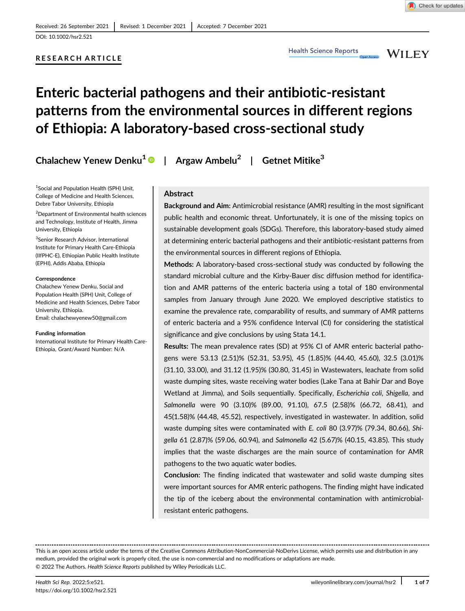DOI: 10.1002/hsr2.521

# RESEARCH ARTICLE

**WILEY** 

# Enteric bacterial pathogens and their antibiotic-resistant patterns from the environmental sources in different regions of Ethiopia: A laboratory-based cross-sectional study

Chalachew Yenew Denku<sup>1</sup> | Argaw Ambelu<sup>2</sup> | Getnet Mitike<sup>3</sup>

1 Social and Population Health (SPH) Unit, College of Medicine and Health Sciences, Debre Tabor University, Ethiopia

2 Department of Environmental health sciences and Technology, Institute of Health, Jimma University, Ethiopia

3 Senior Research Advisor, International Institute for Primary Health Care-Ethiopia (IIfPHC-E), Ethiopian Public Health Institute (EPHI), Addis Ababa, Ethiopia

#### Correspondence

Chalachew Yenew Denku, Social and Population Health (SPH) Unit, College of Medicine and Health Sciences, Debre Tabor University, Ethiopia. Email: [chalachewyenew50@gmail.com](mailto:chalachewyenew50@gmail.com)

#### Funding information

International Institute for Primary Health Care-Ethiopia, Grant/Award Number: N/A

# Abstract

Background and Aim: Antimicrobial resistance (AMR) resulting in the most significant public health and economic threat. Unfortunately, it is one of the missing topics on sustainable development goals (SDGs). Therefore, this laboratory-based study aimed at determining enteric bacterial pathogens and their antibiotic-resistant patterns from the environmental sources in different regions of Ethiopia.

Methods: A laboratory-based cross-sectional study was conducted by following the standard microbial culture and the Kirby-Bauer disc diffusion method for identification and AMR patterns of the enteric bacteria using a total of 180 environmental samples from January through June 2020. We employed descriptive statistics to examine the prevalence rate, comparability of results, and summary of AMR patterns of enteric bacteria and a 95% confidence Interval (CI) for considering the statistical significance and give conclusions by using Stata 14.1.

Results: The mean prevalence rates (SD) at 95% CI of AMR enteric bacterial pathogens were 53.13 (2.51)% (52.31, 53.95), 45 (1.85)% (44.40, 45.60), 32.5 (3.01)% (31.10, 33.00), and 31.12 (1.95)% (30.80, 31.45) in Wastewaters, leachate from solid waste dumping sites, waste receiving water bodies (Lake Tana at Bahir Dar and Boye Wetland at Jimma), and Soils sequentially. Specifically, Escherichia coli, Shigella, and Salmonella were 90 (3.10)% (89.00, 91.10), 67.5 (2.58)% (66.72, 68.41), and 45(1.58)% (44.48, 45.52), respectively, investigated in wastewater. In addition, solid waste dumping sites were contaminated with E. coli 80 (3.97)% (79.34, 80.66), Shigella 61 (2.87)% (59.06, 60.94), and Salmonella 42 (5.67)% (40.15, 43.85). This study implies that the waste discharges are the main source of contamination for AMR pathogens to the two aquatic water bodies.

Conclusion: The finding indicated that wastewater and solid waste dumping sites were important sources for AMR enteric pathogens. The finding might have indicated the tip of the iceberg about the environmental contamination with antimicrobialresistant enteric pathogens.

This is an open access article under the terms of the [Creative Commons Attribution-NonCommercial-NoDerivs](http://creativecommons.org/licenses/by-nc-nd/4.0/) License, which permits use and distribution in any medium, provided the original work is properly cited, the use is non-commercial and no modifications or adaptations are made. © 2022 The Authors. Health Science Reports published by Wiley Periodicals LLC.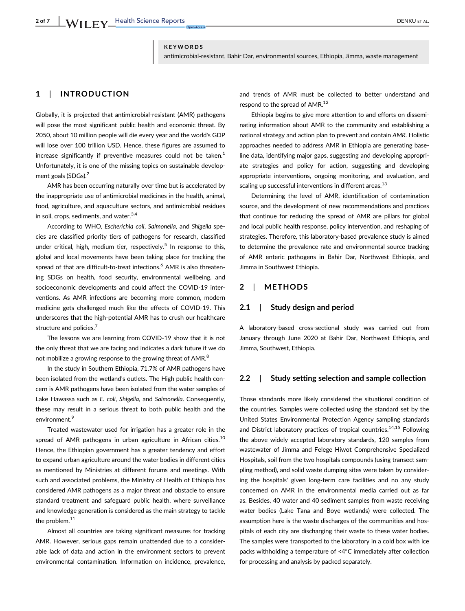## KEYWORDS

antimicrobial-resistant, Bahir Dar, environmental sources, Ethiopia, Jimma, waste management

# 1 | INTRODUCTION

Globally, it is projected that antimicrobial-resistant (AMR) pathogens will pose the most significant public health and economic threat. By 2050, about 10 million people will die every year and the world's GDP will lose over 100 trillion USD. Hence, these figures are assumed to increase significantly if preventive measures could not be taken.<sup>1</sup> Unfortunately, it is one of the missing topics on sustainable development goals (SDGs).<sup>2</sup>

AMR has been occurring naturally over time but is accelerated by the inappropriate use of antimicrobial medicines in the health, animal, food, agriculture, and aquaculture sectors, and antimicrobial residues in soil, crops, sediments, and water. $3,4$ 

According to WHO, Escherichia coli, Salmonella, and Shigella species are classified priority tiers of pathogens for research, classified under critical, high, medium tier, respectively.<sup>5</sup> In response to this, global and local movements have been taking place for tracking the spread of that are difficult-to-treat infections.<sup>6</sup> AMR is also threatening SDGs on health, food security, environmental wellbeing, and socioeconomic developments and could affect the COVID-19 interventions. As AMR infections are becoming more common, modern medicine gets challenged much like the effects of COVID-19. This underscores that the high-potential AMR has to crush our healthcare structure and policies.<sup>7</sup>

The lessons we are learning from COVID-19 show that it is not the only threat that we are facing and indicates a dark future if we do not mobilize a growing response to the growing threat of AMR.<sup>8</sup>

In the study in Southern Ethiopia, 71.7% of AMR pathogens have been isolated from the wetland's outlets. The High public health concern is AMR pathogens have been isolated from the water samples of Lake Hawassa such as E. coli, Shigella, and Salmonella. Consequently, these may result in a serious threat to both public health and the environment.<sup>9</sup>

Treated wastewater used for irrigation has a greater role in the spread of AMR pathogens in urban agriculture in African cities.<sup>10</sup> Hence, the Ethiopian government has a greater tendency and effort to expand urban agriculture around the water bodies in different cities as mentioned by Ministries at different forums and meetings. With such and associated problems, the Ministry of Health of Ethiopia has considered AMR pathogens as a major threat and obstacle to ensure standard treatment and safeguard public health, where surveillance and knowledge generation is considered as the main strategy to tackle the problem.<sup>11</sup>

Almost all countries are taking significant measures for tracking AMR. However, serious gaps remain unattended due to a considerable lack of data and action in the environment sectors to prevent environmental contamination. Information on incidence, prevalence,

and trends of AMR must be collected to better understand and respond to the spread of AMR.<sup>12</sup>

Ethiopia begins to give more attention to and efforts on disseminating information about AMR to the community and establishing a national strategy and action plan to prevent and contain AMR. Holistic approaches needed to address AMR in Ethiopia are generating baseline data, identifying major gaps, suggesting and developing appropriate strategies and policy for action, suggesting and developing appropriate interventions, ongoing monitoring, and evaluation, and scaling up successful interventions in different areas.<sup>13</sup>

Determining the level of AMR, identification of contamination source, and the development of new recommendations and practices that continue for reducing the spread of AMR are pillars for global and local public health response, policy intervention, and reshaping of strategies. Therefore, this laboratory-based prevalence study is aimed to determine the prevalence rate and environmental source tracking of AMR enteric pathogens in Bahir Dar, Northwest Ethiopia, and Jimma in Southwest Ethiopia.

# 2 | METHODS

# 2.1 | Study design and period

A laboratory-based cross-sectional study was carried out from January through June 2020 at Bahir Dar, Northwest Ethiopia, and Jimma, Southwest, Ethiopia.

# 2.2 | Study setting selection and sample collection

Those standards more likely considered the situational condition of the countries. Samples were collected using the standard set by the United States Environmental Protection Agency sampling standards and District laboratory practices of tropical countries.<sup>14,15</sup> Following the above widely accepted laboratory standards, 120 samples from wastewater of Jimma and Felege Hiwot Comprehensive Specialized Hospitals, soil from the two hospitals compounds (using transect sampling method), and solid waste dumping sites were taken by considering the hospitals' given long-term care facilities and no any study concerned on AMR in the environmental media carried out as far as. Besides, 40 water and 40 sediment samples from waste receiving water bodies (Lake Tana and Boye wetlands) were collected. The assumption here is the waste discharges of the communities and hospitals of each city are discharging their waste to these water bodies. The samples were transported to the laboratory in a cold box with ice packs withholding a temperature of  $\leq 4^{\circ}$ C immediately after collection for processing and analysis by packed separately.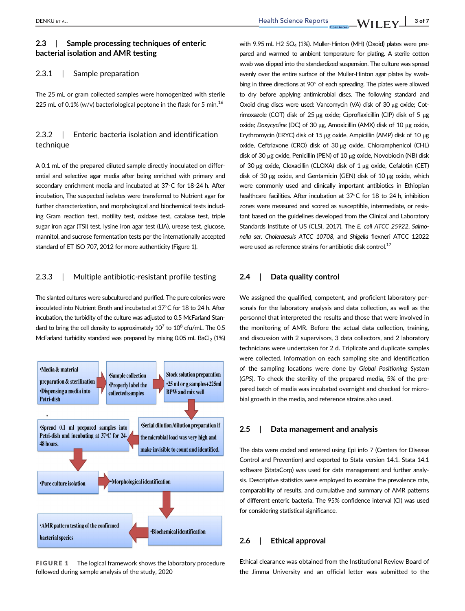# 2.3 | Sample processing techniques of enteric bacterial isolation and AMR testing

# 2.3.1 | Sample preparation

The 25 mL or gram collected samples were homogenized with sterile 225 mL of 0.1% (w/v) bacteriological peptone in the flask for 5 min.<sup>16</sup>

# 2.3.2 | Enteric bacteria isolation and identification technique

A 0.1 mL of the prepared diluted sample directly inoculated on differential and selective agar media after being enriched with primary and secondary enrichment media and incubated at 37°C for 18-24 h. After incubation, The suspected isolates were transferred to Nutrient agar for further characterization, and morphological and biochemical tests including Gram reaction test, motility test, oxidase test, catalase test, triple sugar iron agar (TSI) test, lysine iron agar test (LIA), urease test, glucose, mannitol, and sucrose fermentation tests per the internationally accepted standard of ET ISO 707, 2012 for more authenticity (Figure 1).

# 2.3.3 | Multiple antibiotic-resistant profile testing

The slanted cultures were subcultured and purified. The pure colonies were inoculated into Nutrient Broth and incubated at  $37^{\circ}$ C for 18 to 24 h. After incubation, the turbidity of the culture was adjusted to 0.5 McFarland Standard to bring the cell density to approximately  $10^7$  to  $10^8$  cfu/mL. The 0.5 McFarland turbidity standard was prepared by mixing  $0.05$  mL BaCl<sub>2</sub> (1%)



FIGURE 1 The logical framework shows the laboratory procedure followed during sample analysis of the study, 2020

with 9.95 mL H2  $SO<sub>4</sub>$  (1%). Muller-Hinton (MH) (Oxoid) plates were prepared and warmed to ambient temperature for plating. A sterile cotton swab was dipped into the standardized suspension. The culture was spread evenly over the entire surface of the Muller-Hinton agar plates by swabbing in three directions at  $90^{\circ}$  of each spreading. The plates were allowed to dry before applying antimicrobial discs. The following standard and Oxoid drug discs were used: Vancomycin (VA) disk of 30 μg oxide; Cotrimoxazole (COT) disk of 25 μg oxide; Ciproflaxicillin (CIP) disk of 5 μg oxide; Doxycycline (DC) of 30 μg, Amoxicillin (AMX) disk of 10 μg oxide, Erythromycin (ERYC) disk of 15 μg oxide, Ampicillin (AMP) disk of 10 μg oxide, Ceftriaxone (CRO) disk of 30 μg oxide, Chloramphenicol (CHL) disk of 30 μg oxide, Penicillin (PEN) of 10 μg oxide, Novobiocin (NB) disk of 30 μg oxide, Cloxacillin (CLOXA) disk of 1 μg oxide, Cefalotin (CET) disk of 30 μg oxide, and Gentamicin (GEN) disk of 10 μg oxide, which were commonly used and clinically important antibiotics in Ethiopian healthcare facilities. After incubation at 37°C for 18 to 24 h, inhibition zones were measured and scored as susceptible, intermediate, or resistant based on the guidelines developed from the Clinical and Laboratory Standards Institute of US (CLSI, 2017). The E. coli ATCC 25922, Salmonella ser. Choleraesuis ATCC 10708, and Shigella flexneri ATCC 12022 were used as reference strains for antibiotic disk control.<sup>17</sup>

# 2.4 | Data quality control

We assigned the qualified, competent, and proficient laboratory personals for the laboratory analysis and data collection, as well as the personnel that interpreted the results and those that were involved in the monitoring of AMR. Before the actual data collection, training, and discussion with 2 supervisors, 3 data collectors, and 2 laboratory technicians were undertaken for 2 d. Triplicate and duplicate samples were collected. Information on each sampling site and identification of the sampling locations were done by Global Positioning System (GPS). To check the sterility of the prepared media, 5% of the prepared batch of media was incubated overnight and checked for microbial growth in the media, and reference strains also used.

### 2.5 | Data management and analysis

The data were coded and entered using Epi info 7 (Centers for Disease Control and Prevention) and exported to Stata version 14.1. Stata 14.1 software (StataCorp) was used for data management and further analysis. Descriptive statistics were employed to examine the prevalence rate, comparability of results, and cumulative and summary of AMR patterns of different enteric bacteria. The 95% confidence interval (CI) was used for considering statistical significance.

# 2.6 | Ethical approval

Ethical clearance was obtained from the Institutional Review Board of the Jimma University and an official letter was submitted to the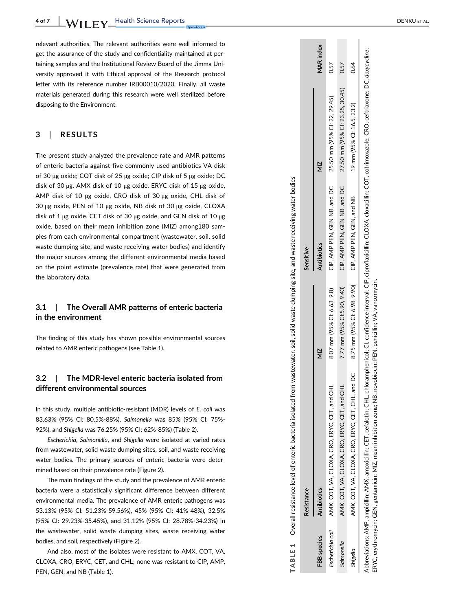relevant authorities. The relevant authorities were well informed to get the assurance of the study and confidentiality maintained at pertaining samples and the Institutional Review Board of the Jimma University approved it with Ethical approval of the Research protocol letter with its reference number IRB00010/2020. Finally, all waste materials generated during this research were well sterilized before disposing to the Environment.

# 3 | RESULTS

The present study analyzed the prevalence rate and AMR patterns of enteric bacteria against five commonly used antibiotics VA disk of 30 μg oxide; COT disk of 25 μg oxide; CIP disk of 5 μg oxide; DC disk of 30 μg, AMX disk of 10 μg oxide, ERYC disk of 15 μg oxide, AMP disk of 10 μg oxide, CRO disk of 30 μg oxide, CHL disk of 30 μg oxide, PEN of 10 μg oxide, NB disk of 30 μg oxide, CLOXA disk of 1  $\mu$ g oxide, CET disk of 30  $\mu$ g oxide, and GEN disk of 10  $\mu$ g oxide, based on their mean inhibition zone (MIZ) among180 samples from each environmental compartment (wastewater, soil, solid waste dumping site, and waste receiving water bodies) and identify the major sources among the different environmental media based on the point estimate (prevalence rate) that were generated from the laboratory data.

#### 3.1 | The Overall AMR patterns of enteric bacteria in the environment

The finding of this study has shown possible environmental sources related to AMR enteric pathogens (see Table 1).

#### 3.2 The MDR-level enteric bacteria isolated from different environmental sources

In this study, multiple antibiotic-resistant (MDR) levels of E. coli was 83.63% (95% CI: 80.5%-88%), Salmonella was 85% (95% CI: 75%- 92%), and Shigella was 76.25% (95% CI: 62%-85%) (Table 2).

Escherichia , Salmonella, and Shigella were isolated at varied rates from wastewater, solid waste dumping sites, soil, and waste receiving water bodies. The primary sources of enteric bacteria were determined based on their prevalence rate (Figure 2).

The main findings of the study and the prevalence of AMR enteric bacteria were a statistically significant difference between different environmental media. The prevalence of AMR enteric pathogens was 53.13% (95% CI: 51.23%-59.56%), 45% (95% CI: 41%-48%), 32.5% (95% CI: 29.23%-35.45%), and 31.12% (95% CI: 28.78%-34.23%) in the wastewater, solid waste dumping sites, waste receiving water bodies, and soil, respectively (Figure 2).

And also, most of the isolates were resistant to AMX, COT, VA, CLOXA, CRO, ERYC, CET, and CHL; none was resistant to CIP, AMP, PEN, GEN, and NB (Table 1).

|                    | TABLE 1 Overall resistance level of enteric bacteria isolated from wastewater, soil, solid waste dumping site, and waste receiving water bodies                                                      |                              |                              |                                 |                  |
|--------------------|------------------------------------------------------------------------------------------------------------------------------------------------------------------------------------------------------|------------------------------|------------------------------|---------------------------------|------------------|
|                    | <b>Resistance</b>                                                                                                                                                                                    |                              | Sensitive                    |                                 |                  |
| <b>FBB</b> species | <b>Antibiotics</b>                                                                                                                                                                                   | ΣIΝ                          | <b>Antibiotics</b>           | $\frac{2}{2}$                   | <b>MAR</b> index |
| Escherichia coli   | AMX, COT, VA, CLOXA, CRO, ERYC, CET, and CH                                                                                                                                                          | 8.07 mm (95% CI: 6.63, 9.8)  | CIP, AMP PEN, GEN NB, and DC | 25.50 mm (95% Cl: 22, 29.45)    | 0.57             |
| Salmonella         | AMX, COT, VA, CLOXA, CRO, ERYC, CET, and CHI                                                                                                                                                         | 7.77 mm (95% Cl:5.90, 9.43)  | CIP, AMP PEN, GEN NB, and DC | 27.50 mm (95% Cl: 23.25, 30.45) | 0.57             |
| Shigella           | AMX, COT, VA, CLOXA, CRO, ERYC, CET, CHL, and DC                                                                                                                                                     | 8.75 mm (95% CI: 6.98, 9.90) | CIP, AMP PEN, GEN, and NB    | 19 mm (95% Cl: 16.5, 23.2)      | 0.64             |
|                    | Abbreviations: AMP appoilin: AMX amovicilin: CET cefalotin: CHI chlorappopulation: CI confidence interval: CIP cinroflavicilin: CI OXA closesilin: COT cottinosazole: CRO settiaxone: DC dovscrilin: |                              |                              |                                 |                  |

Abbreviations: AMP, ampicillin; AMX, amoxicillin; CET, cefalotin; CHL, chloramphenicol; CI, confidence interval; CIP, ciproflaxicillin; CLOXA, cloxacillin; COT, cotrimoxazole; CRO, ceftriaxone; DC, doxycycline; ERYC, erythromycin; GEN, gentamicin; MIZ, mean inhibition zone; NB, novobiocin; PEN, penicillin; VA, vancomycin. mean inhibition zone; NB, novobiocin; PEN, penicillin; VA, vancomycin erythromycin; GEN, gentamicin; MIZ, ERYC,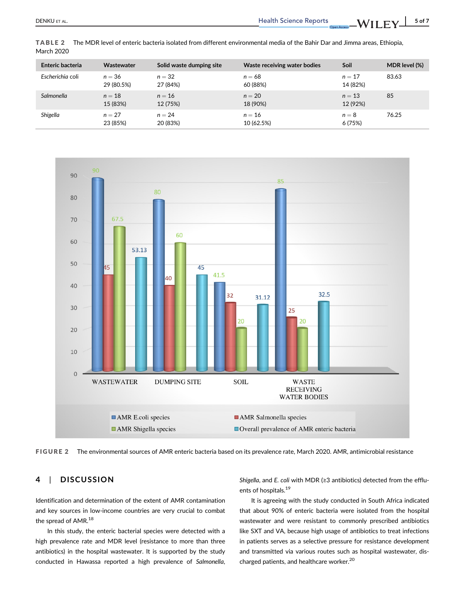| Enteric bacteria | Wastewater             | Solid waste dumping site | Waste receiving water bodies | Soil                 | MDR level (%) |
|------------------|------------------------|--------------------------|------------------------------|----------------------|---------------|
| Escherichia coli | $n = 36$<br>29 (80.5%) | $n = 32$<br>27 (84%)     | $n = 68$<br>60 (88%)         | $n=17$<br>14 (82%)   | 83.63         |
| Salmonella       | $n = 18$<br>15 (83%)   | $n = 16$<br>12 (75%)     | $n = 20$<br>18 (90%)         | $n = 13$<br>12 (92%) | 85            |
| Shigella         | $n = 27$<br>23 (85%)   | $n = 24$<br>20 (83%)     | $n = 16$<br>10 (62.5%)       | $n = 8$<br>6 (75%)   | 76.25         |

TABLE 2 The MDR level of enteric bacteria isolated from different environmental media of the Bahir Dar and Jimma areas, Ethiopia, March 2020





# 4 | DISCUSSION

Identification and determination of the extent of AMR contamination and key sources in low-income countries are very crucial to combat the spread of AMR.<sup>18</sup>

In this study, the enteric bacterial species were detected with a high prevalence rate and MDR level (resistance to more than three antibiotics) in the hospital wastewater. It is supported by the study conducted in Hawassa reported a high prevalence of Salmonella,

Shigella, and E. coli with MDR ( $\geq$ 3 antibiotics) detected from the effluents of hospitals.19

It is agreeing with the study conducted in South Africa indicated that about 90% of enteric bacteria were isolated from the hospital wastewater and were resistant to commonly prescribed antibiotics like SXT and VA, because high usage of antibiotics to treat infections in patients serves as a selective pressure for resistance development and transmitted via various routes such as hospital wastewater, discharged patients, and healthcare worker.20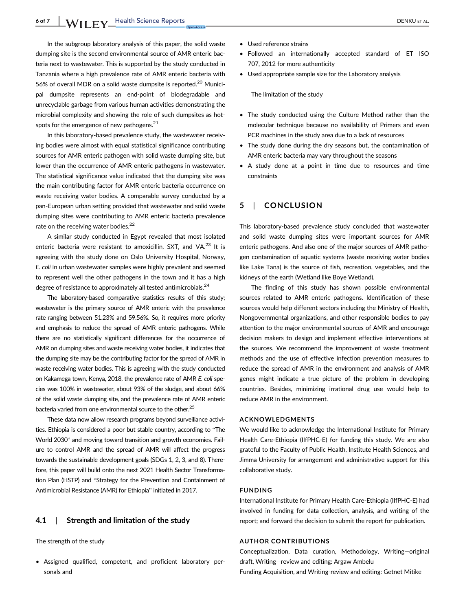In the subgroup laboratory analysis of this paper, the solid waste dumping site is the second environmental source of AMR enteric bacteria next to wastewater. This is supported by the study conducted in Tanzania where a high prevalence rate of AMR enteric bacteria with 56% of overall MDR on a solid waste dumpsite is reported.<sup>20</sup> Municipal dumpsite represents an end-point of biodegradable and unrecyclable garbage from various human activities demonstrating the microbial complexity and showing the role of such dumpsites as hotspots for the emergence of new pathogens.<sup>21</sup>

In this laboratory-based prevalence study, the wastewater receiving bodies were almost with equal statistical significance contributing sources for AMR enteric pathogen with solid waste dumping site, but lower than the occurrence of AMR enteric pathogens in wastewater. The statistical significance value indicated that the dumping site was the main contributing factor for AMR enteric bacteria occurrence on waste receiving water bodies. A comparable survey conducted by a pan-European urban setting provided that wastewater and solid waste dumping sites were contributing to AMR enteric bacteria prevalence rate on the receiving water bodies.<sup>22</sup>

A similar study conducted in Egypt revealed that most isolated enteric bacteria were resistant to amoxicillin, SXT, and VA.<sup>23</sup> It is agreeing with the study done on Oslo University Hospital, Norway, E. coli in urban wastewater samples were highly prevalent and seemed to represent well the other pathogens in the town and it has a high degree of resistance to approximately all tested antimicrobials. $^{24}$ 

The laboratory-based comparative statistics results of this study; wastewater is the primary source of AMR enteric with the prevalence rate ranging between 51.23% and 59.56%. So, it requires more priority and emphasis to reduce the spread of AMR enteric pathogens. While there are no statistically significant differences for the occurrence of AMR on dumping sites and waste receiving water bodies, it indicates that the dumping site may be the contributing factor for the spread of AMR in waste receiving water bodies. This is agreeing with the study conducted on Kakamega town, Kenya, 2018, the prevalence rate of AMR E. coli species was 100% in wastewater, about 93% of the sludge, and about 66% of the solid waste dumping site, and the prevalence rate of AMR enteric bacteria varied from one environmental source to the other.<sup>25</sup>

These data now allow research programs beyond surveillance activities. Ethiopia is considered a poor but stable country, according to "The World 2030" and moving toward transition and growth economies. Failure to control AMR and the spread of AMR will affect the progress towards the sustainable development goals (SDGs 1, 2, 3, and 8). Therefore, this paper will build onto the next 2021 Health Sector Transformation Plan (HSTP) and "Strategy for the Prevention and Containment of Antimicrobial Resistance (AMR) for Ethiopia" initiated in 2017.

# 4.1 | Strength and limitation of the study

The strength of the study

• Assigned qualified, competent, and proficient laboratory personals and

- Used reference strains
- Followed an internationally accepted standard of ET ISO 707, 2012 for more authenticity
- Used appropriate sample size for the Laboratory analysis

The limitation of the study

- The study conducted using the Culture Method rather than the molecular technique because no availability of Primers and even PCR machines in the study area due to a lack of resources
- The study done during the dry seasons but, the contamination of AMR enteric bacteria may vary throughout the seasons
- A study done at a point in time due to resources and time constraints

# 5 | CONCLUSION

This laboratory-based prevalence study concluded that wastewater and solid waste dumping sites were important sources for AMR enteric pathogens. And also one of the major sources of AMR pathogen contamination of aquatic systems (waste receiving water bodies like Lake Tana) is the source of fish, recreation, vegetables, and the kidneys of the earth (Wetland like Boye Wetland).

The finding of this study has shown possible environmental sources related to AMR enteric pathogens. Identification of these sources would help different sectors including the Ministry of Health, Nongovernmental organizations, and other responsible bodies to pay attention to the major environmental sources of AMR and encourage decision makers to design and implement effective interventions at the sources. We recommend the improvement of waste treatment methods and the use of effective infection prevention measures to reduce the spread of AMR in the environment and analysis of AMR genes might indicate a true picture of the problem in developing countries. Besides, minimizing irrational drug use would help to reduce AMR in the environment.

#### ACKNOWLEDGMENTS

We would like to acknowledge the International Institute for Primary Health Care-Ethiopia (IIfPHC-E) for funding this study. We are also grateful to the Faculty of Public Health, Institute Health Sciences, and Jimma University for arrangement and administrative support for this collaborative study.

### FUNDING

International Institute for Primary Health Care-Ethiopia (IIfPHC-E) had involved in funding for data collection, analysis, and writing of the report; and forward the decision to submit the report for publication.

### AUTHOR CONTRIBUTIONS

Conceptualization, Data curation, Methodology, Writing—original draft, Writing—review and editing: Argaw Ambelu Funding Acquisition, and Writing-review and editing: Getnet Mitike